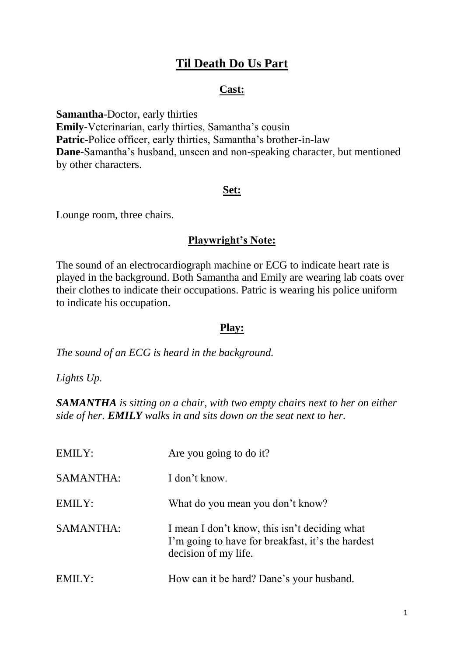# **Til Death Do Us Part**

#### **Cast:**

**Samantha**-Doctor, early thirties **Emily**-Veterinarian, early thirties, Samantha's cousin **Patric**-Police officer, early thirties, Samantha's brother-in-law **Dane**-Samantha's husband, unseen and non-speaking character, but mentioned by other characters.

#### **Set:**

Lounge room, three chairs.

## **Playwright's Note:**

The sound of an electrocardiograph machine or ECG to indicate heart rate is played in the background. Both Samantha and Emily are wearing lab coats over their clothes to indicate their occupations. Patric is wearing his police uniform to indicate his occupation.

### **Play:**

*The sound of an ECG is heard in the background.*

*Lights Up.*

*SAMANTHA is sitting on a chair, with two empty chairs next to her on either side of her. EMILY walks in and sits down on the seat next to her.*

| EMILY:      | Are you going to do it?                                                                                                    |
|-------------|----------------------------------------------------------------------------------------------------------------------------|
| SAMANTHA:   | I don't know.                                                                                                              |
| EMILY:      | What do you mean you don't know?                                                                                           |
| SAMANTHA:   | I mean I don't know, this isn't deciding what<br>I'm going to have for breakfast, it's the hardest<br>decision of my life. |
| 4ILY:<br>EN | How can it be hard? Dane's your husband.                                                                                   |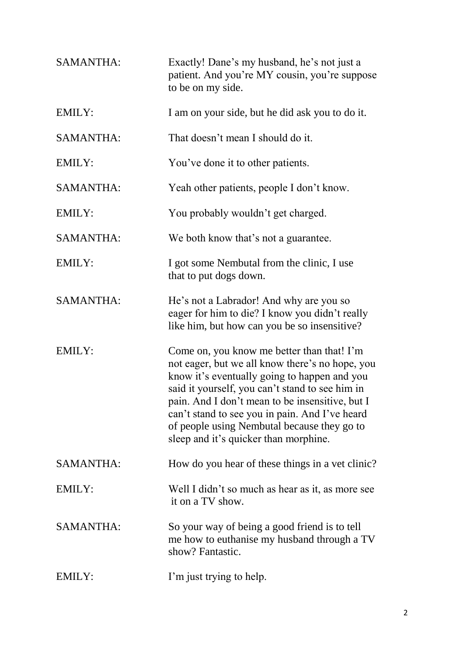| <b>SAMANTHA:</b> | Exactly! Dane's my husband, he's not just a<br>patient. And you're MY cousin, you're suppose<br>to be on my side.                                                                                                                                                                                                                                                                             |
|------------------|-----------------------------------------------------------------------------------------------------------------------------------------------------------------------------------------------------------------------------------------------------------------------------------------------------------------------------------------------------------------------------------------------|
| <b>EMILY:</b>    | I am on your side, but he did ask you to do it.                                                                                                                                                                                                                                                                                                                                               |
| <b>SAMANTHA:</b> | That doesn't mean I should do it.                                                                                                                                                                                                                                                                                                                                                             |
| EMILY:           | You've done it to other patients.                                                                                                                                                                                                                                                                                                                                                             |
| <b>SAMANTHA:</b> | Yeah other patients, people I don't know.                                                                                                                                                                                                                                                                                                                                                     |
| <b>EMILY:</b>    | You probably wouldn't get charged.                                                                                                                                                                                                                                                                                                                                                            |
| <b>SAMANTHA:</b> | We both know that's not a guarantee.                                                                                                                                                                                                                                                                                                                                                          |
| EMILY:           | I got some Nembutal from the clinic, I use<br>that to put dogs down.                                                                                                                                                                                                                                                                                                                          |
| <b>SAMANTHA:</b> | He's not a Labrador! And why are you so<br>eager for him to die? I know you didn't really<br>like him, but how can you be so insensitive?                                                                                                                                                                                                                                                     |
| EMILY:           | Come on, you know me better than that! I'm<br>not eager, but we all know there's no hope, you<br>know it's eventually going to happen and you<br>said it yourself, you can't stand to see him in<br>pain. And I don't mean to be insensitive, but I<br>can't stand to see you in pain. And I've heard<br>of people using Nembutal because they go to<br>sleep and it's quicker than morphine. |
| <b>SAMANTHA:</b> | How do you hear of these things in a vet clinic?                                                                                                                                                                                                                                                                                                                                              |
| <b>EMILY:</b>    | Well I didn't so much as hear as it, as more see<br>it on a TV show.                                                                                                                                                                                                                                                                                                                          |
| <b>SAMANTHA:</b> | So your way of being a good friend is to tell<br>me how to euthanise my husband through a TV<br>show? Fantastic.                                                                                                                                                                                                                                                                              |
| <b>EMILY:</b>    | I'm just trying to help.                                                                                                                                                                                                                                                                                                                                                                      |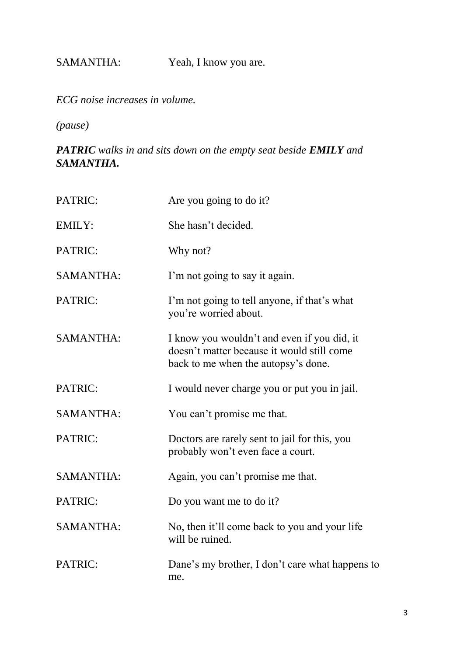SAMANTHA: Yeah, I know you are.

*ECG noise increases in volume.*

*(pause)*

*PATRIC walks in and sits down on the empty seat beside EMILY and SAMANTHA.*

| PATRIC:          | Are you going to do it?                                                                                                          |
|------------------|----------------------------------------------------------------------------------------------------------------------------------|
| <b>EMILY:</b>    | She hasn't decided.                                                                                                              |
| PATRIC:          | Why not?                                                                                                                         |
| <b>SAMANTHA:</b> | I'm not going to say it again.                                                                                                   |
| PATRIC:          | I'm not going to tell anyone, if that's what<br>you're worried about.                                                            |
| <b>SAMANTHA:</b> | I know you wouldn't and even if you did, it<br>doesn't matter because it would still come<br>back to me when the autopsy's done. |
| PATRIC:          | I would never charge you or put you in jail.                                                                                     |
| <b>SAMANTHA:</b> | You can't promise me that.                                                                                                       |
| PATRIC:          | Doctors are rarely sent to jail for this, you<br>probably won't even face a court.                                               |
| <b>SAMANTHA:</b> | Again, you can't promise me that.                                                                                                |
| PATRIC:          | Do you want me to do it?                                                                                                         |
| <b>SAMANTHA:</b> | No, then it'll come back to you and your life<br>will be ruined.                                                                 |
| PATRIC:          | Dane's my brother, I don't care what happens to<br>me.                                                                           |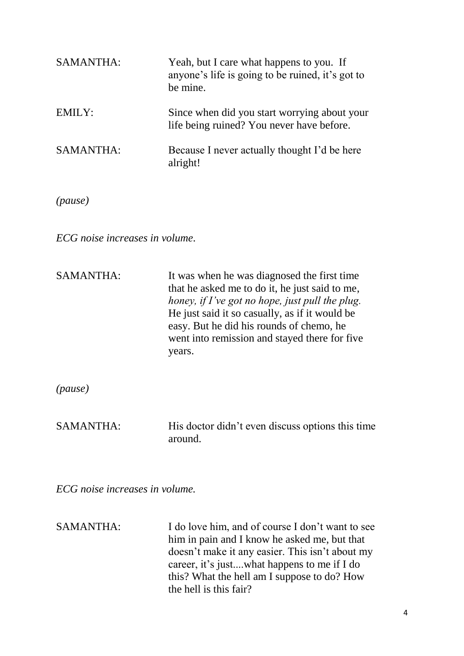| SAMANTHA:                      | Yeah, but I care what happens to you. If<br>anyone's life is going to be ruined, it's got to<br>be mine.                                                                                                                                                                                                  |
|--------------------------------|-----------------------------------------------------------------------------------------------------------------------------------------------------------------------------------------------------------------------------------------------------------------------------------------------------------|
| <b>EMILY:</b>                  | Since when did you start worrying about your<br>life being ruined? You never have before.                                                                                                                                                                                                                 |
| <b>SAMANTHA:</b>               | Because I never actually thought I'd be here<br>alright!                                                                                                                                                                                                                                                  |
| (pause)                        |                                                                                                                                                                                                                                                                                                           |
| ECG noise increases in volume. |                                                                                                                                                                                                                                                                                                           |
| <b>SAMANTHA:</b>               | It was when he was diagnosed the first time<br>that he asked me to do it, he just said to me,<br>honey, if I've got no hope, just pull the plug.<br>He just said it so casually, as if it would be<br>easy. But he did his rounds of chemo, he<br>went into remission and stayed there for five<br>years. |
| (pause)                        |                                                                                                                                                                                                                                                                                                           |
| <b>SAMANTHA:</b>               | His doctor didn't even discuss options this time<br>around.                                                                                                                                                                                                                                               |
| ECG noise increases in volume. |                                                                                                                                                                                                                                                                                                           |

SAMANTHA: I do love him, and of course I don't want to see him in pain and I know he asked me, but that doesn't make it any easier. This isn't about my career, it's just....what happens to me if I do this? What the hell am I suppose to do? How the hell is this fair?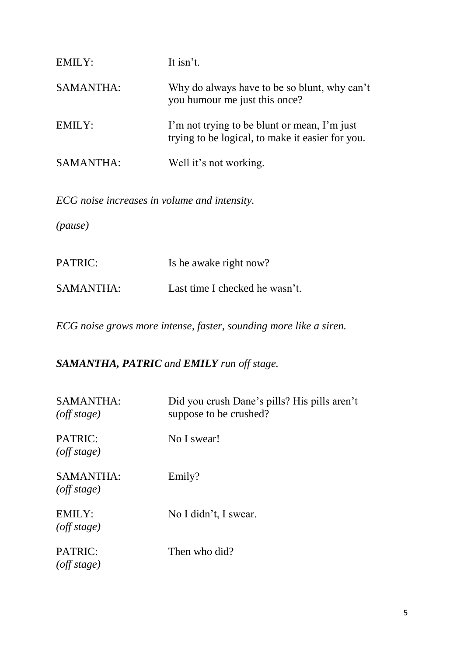| EMILY:           | It isn't.                                                                                        |
|------------------|--------------------------------------------------------------------------------------------------|
| <b>SAMANTHA:</b> | Why do always have to be so blunt, why can't<br>you humour me just this once?                    |
| EMILY:           | I'm not trying to be blunt or mean, I'm just<br>trying to be logical, to make it easier for you. |
| <b>SAMANTHA:</b> | Well it's not working.                                                                           |

*ECG noise increases in volume and intensity.*

*(pause)*

| PATRIC:          | Is he awake right now?         |
|------------------|--------------------------------|
| <b>SAMANTHA:</b> | Last time I checked he wasn't. |

*ECG noise grows more intense, faster, sounding more like a siren.*

*SAMANTHA, PATRIC and EMILY run off stage.*

| SAMANTHA:<br>$($ <i>off</i> stage)     | Did you crush Dane's pills? His pills aren't<br>suppose to be crushed? |
|----------------------------------------|------------------------------------------------------------------------|
| PATRIC:<br>$($ <i>off</i> stage)       | No I swear!                                                            |
| SAMANTHA:<br>$($ <i>off</i> stage $)$  | Emily?                                                                 |
| <b>EMILY:</b><br>$($ <i>off</i> stage) | No I didn't, I swear.                                                  |
| PATRIC:<br>$($ <i>off</i> stage $)$    | Then who did?                                                          |